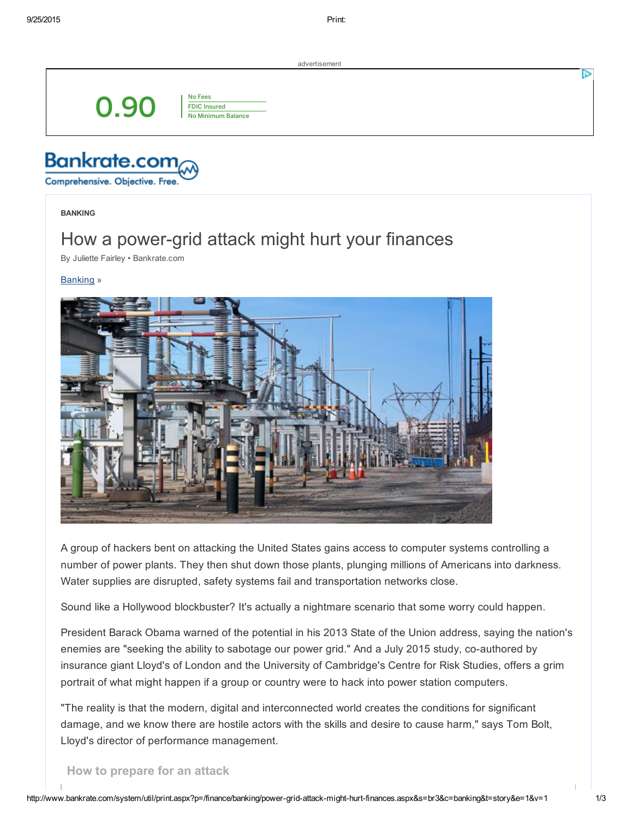advertisement

0.90

No Fees FDIC Insured No Minimum Balance

**Bankrate.com** 

Comprehensive. Objective. Free

BANKING

## How a power-grid attack might hurt your finances

By [Juliette](mailto:editors@bankrate.com) Fairley • Bankrate.com

[Banking](http://www.bankrate.com/banking.aspx) »



A group of hackers bent on attacking the United States gains access to computer systems controlling a number of power plants. They then shut down those plants, plunging millions of Americans into darkness. Water supplies are disrupted, safety systems fail and transportation networks close.

Sound like a Hollywood blockbuster? It's actually a nightmare scenario that some worry could happen.

President Barack Obama warned of the potential in his 2013 State of the Union address, saying the nation's enemies are "seeking the ability to sabotage our power grid." And a July 2015 study, co-authored by insurance giant Lloyd's of London and the University of Cambridge's Centre for Risk Studies, offers a grim portrait of what might happen if a group or country were to hack into power station computers.

"The reality is that the modern, digital and interconnected world creates the conditions for significant damage, and we know there are hostile actors with the skills and desire to cause harm," says Tom Bolt, Lloyd's director of performance management.

How to prepare for an attack

ъ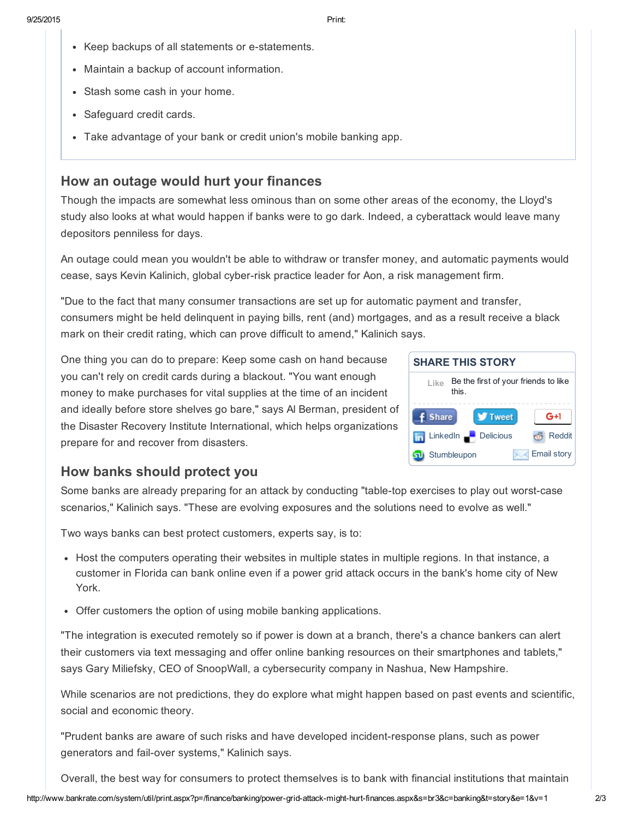- Keep backups of all statements or e-statements.
- Maintain a backup of account information.
- Stash some cash in your home.
- Safeguard credit cards.
- Take advantage of your bank or credit union's mobile banking app.

## How an outage would hurt your finances

Though the impacts are somewhat less ominous than on some other areas of the economy, the Lloyd's study also looks at what would happen if banks were to go dark. Indeed, a cyberattack would leave many depositors penniless for days.

An outage could mean you wouldn't be able to withdraw or transfer money, and automatic payments would cease, says Kevin Kalinich, global cyber-risk practice leader for Aon, a risk management firm.

"Due to the fact that many consumer transactions are set up for automatic payment and transfer, consumers might be held delinquent in paying bills, rent (and) mortgages, and as a result receive a black mark on their credit rating, which can prove difficult to amend," Kalinich says.

One thing you can do to prepare: Keep some cash on hand because you can't rely on credit cards during a blackout. "You want enough money to make purchases for vital supplies at the time of an incident and ideally before store shelves go bare," says Al Berman, president of the Disaster Recovery Institute International, which helps organizations prepare for and recover from disasters.



## How banks should protect you

Some banks are already preparing for an attack by conducting "table-top exercises to play out worst-case scenarios," Kalinich says. "These are evolving exposures and the solutions need to evolve as well."

Two ways banks can best protect customers, experts say, is to:

- Host the computers operating their websites in multiple states in multiple regions. In that instance, a customer in Florida can bank online even if a power grid attack occurs in the bank's home city of New York.
- Offer customers the option of using mobile banking applications.

"The integration is executed remotely so if power is down at a branch, there's a chance bankers can alert their customers via text messaging and offer online banking resources on their smartphones and tablets," says Gary Miliefsky, CEO of SnoopWall, a cybersecurity company in Nashua, New Hampshire.

While scenarios are not predictions, they do explore what might happen based on past events and scientific, social and economic theory.

"Prudent banks are aware of such risks and have developed incident-response plans, such as power generators and fail-over systems," Kalinich says.

Overall, the best way for consumers to protect themselves is to bank with financial institutions that maintain